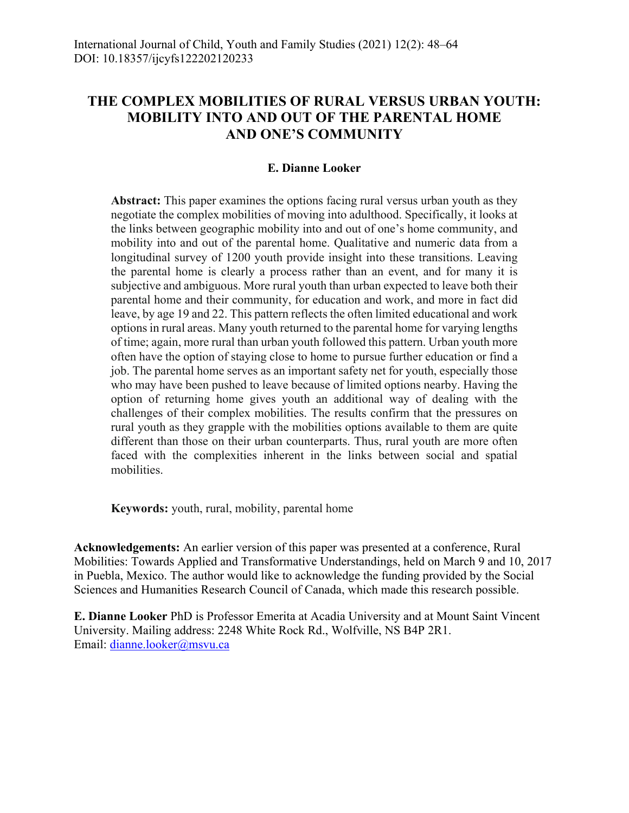# **THE COMPLEX MOBILITIES OF RURAL VERSUS URBAN YOUTH: MOBILITY INTO AND OUT OF THE PARENTAL HOME AND ONE'S COMMUNITY**

# **E. Dianne Looker**

**Abstract:** This paper examines the options facing rural versus urban youth as they negotiate the complex mobilities of moving into adulthood. Specifically, it looks at the links between geographic mobility into and out of one's home community, and mobility into and out of the parental home. Qualitative and numeric data from a longitudinal survey of 1200 youth provide insight into these transitions. Leaving the parental home is clearly a process rather than an event, and for many it is subjective and ambiguous. More rural youth than urban expected to leave both their parental home and their community, for education and work, and more in fact did leave, by age 19 and 22. This pattern reflects the often limited educational and work options in rural areas. Many youth returned to the parental home for varying lengths of time; again, more rural than urban youth followed this pattern. Urban youth more often have the option of staying close to home to pursue further education or find a job. The parental home serves as an important safety net for youth, especially those who may have been pushed to leave because of limited options nearby. Having the option of returning home gives youth an additional way of dealing with the challenges of their complex mobilities. The results confirm that the pressures on rural youth as they grapple with the mobilities options available to them are quite different than those on their urban counterparts. Thus, rural youth are more often faced with the complexities inherent in the links between social and spatial mobilities.

**Keywords:** youth, rural, mobility, parental home

**Acknowledgements:** An earlier version of this paper was presented at a conference, Rural Mobilities: Towards Applied and Transformative Understandings, held on March 9 and 10, 2017 in Puebla, Mexico. The author would like to acknowledge the funding provided by the Social Sciences and Humanities Research Council of Canada, which made this research possible.

**E. Dianne Looker** PhD is Professor Emerita at Acadia University and at Mount Saint Vincent University. Mailing address: 2248 White Rock Rd., Wolfville, NS B4P 2R1. Email: dianne.looker@msvu.ca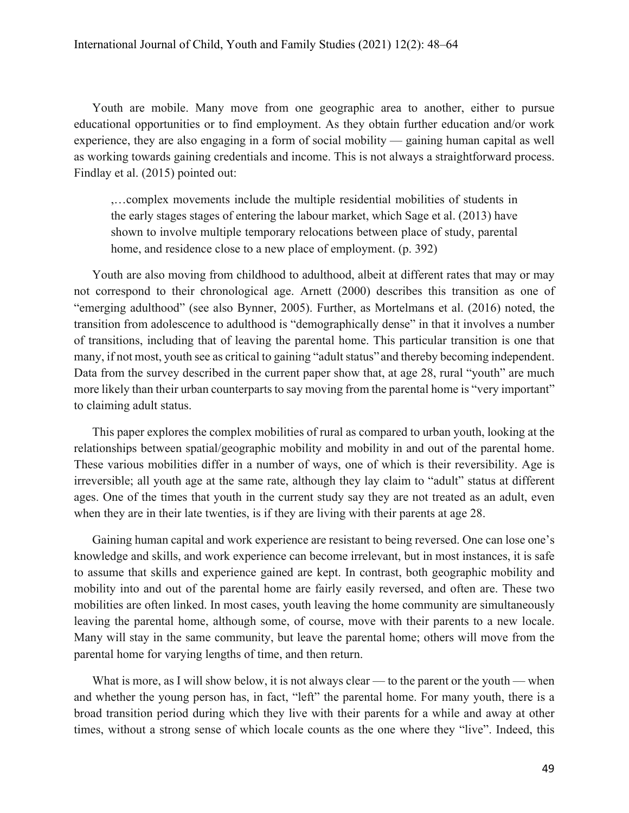Youth are mobile. Many move from one geographic area to another, either to pursue educational opportunities or to find employment. As they obtain further education and/or work experience, they are also engaging in a form of social mobility — gaining human capital as well as working towards gaining credentials and income. This is not always a straightforward process. Findlay et al. (2015) pointed out:

,…complex movements include the multiple residential mobilities of students in the early stages stages of entering the labour market, which Sage et al. (2013) have shown to involve multiple temporary relocations between place of study, parental home, and residence close to a new place of employment. (p. 392)

Youth are also moving from childhood to adulthood, albeit at different rates that may or may not correspond to their chronological age. Arnett (2000) describes this transition as one of "emerging adulthood" (see also Bynner, 2005). Further, as Mortelmans et al. (2016) noted, the transition from adolescence to adulthood is "demographically dense" in that it involves a number of transitions, including that of leaving the parental home. This particular transition is one that many, if not most, youth see as critical to gaining "adult status" and thereby becoming independent. Data from the survey described in the current paper show that, at age 28, rural "youth" are much more likely than their urban counterparts to say moving from the parental home is "very important" to claiming adult status.

This paper explores the complex mobilities of rural as compared to urban youth, looking at the relationships between spatial/geographic mobility and mobility in and out of the parental home. These various mobilities differ in a number of ways, one of which is their reversibility. Age is irreversible; all youth age at the same rate, although they lay claim to "adult" status at different ages. One of the times that youth in the current study say they are not treated as an adult, even when they are in their late twenties, is if they are living with their parents at age 28.

Gaining human capital and work experience are resistant to being reversed. One can lose one's knowledge and skills, and work experience can become irrelevant, but in most instances, it is safe to assume that skills and experience gained are kept. In contrast, both geographic mobility and mobility into and out of the parental home are fairly easily reversed, and often are. These two mobilities are often linked. In most cases, youth leaving the home community are simultaneously leaving the parental home, although some, of course, move with their parents to a new locale. Many will stay in the same community, but leave the parental home; others will move from the parental home for varying lengths of time, and then return.

What is more, as I will show below, it is not always clear — to the parent or the youth — when and whether the young person has, in fact, "left" the parental home. For many youth, there is a broad transition period during which they live with their parents for a while and away at other times, without a strong sense of which locale counts as the one where they "live". Indeed, this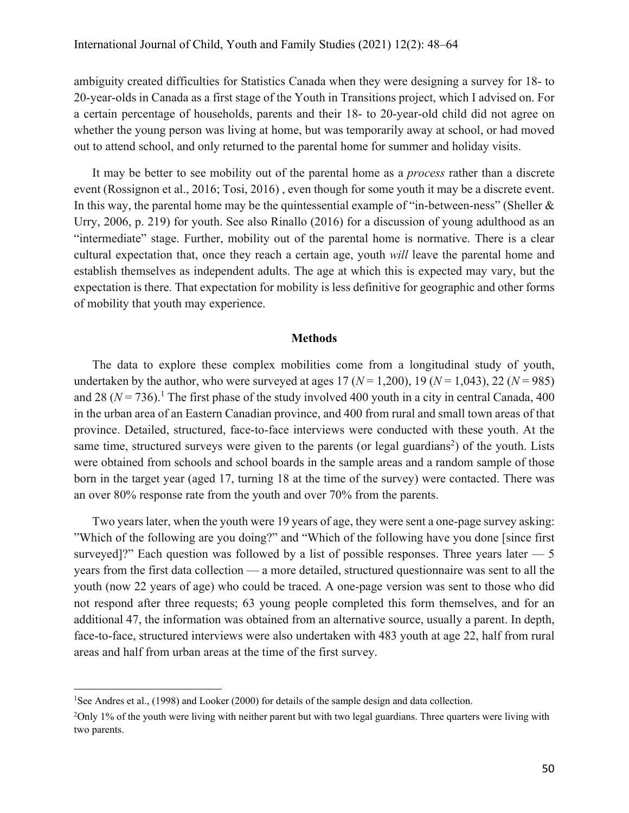ambiguity created difficulties for Statistics Canada when they were designing a survey for 18- to 20-year-olds in Canada as a first stage of the Youth in Transitions project, which I advised on. For a certain percentage of households, parents and their 18- to 20-year-old child did not agree on whether the young person was living at home, but was temporarily away at school, or had moved out to attend school, and only returned to the parental home for summer and holiday visits.

It may be better to see mobility out of the parental home as a *process* rather than a discrete event (Rossignon et al., 2016; Tosi, 2016) , even though for some youth it may be a discrete event. In this way, the parental home may be the quintessential example of "in-between-ness" (Sheller & Urry, 2006, p. 219) for youth. See also Rinallo (2016) for a discussion of young adulthood as an "intermediate" stage. Further, mobility out of the parental home is normative. There is a clear cultural expectation that, once they reach a certain age, youth *will* leave the parental home and establish themselves as independent adults. The age at which this is expected may vary, but the expectation is there. That expectation for mobility is less definitive for geographic and other forms of mobility that youth may experience.

### **Methods**

The data to explore these complex mobilities come from a longitudinal study of youth, undertaken by the author, who were surveyed at ages  $17 (N = 1,200)$ ,  $19 (N = 1,043)$ ,  $22 (N = 985)$ and 28 ( $N = 736$ ).<sup>1</sup> The first phase of the study involved 400 youth in a city in central Canada, 400 in the urban area of an Eastern Canadian province, and 400 from rural and small town areas of that province. Detailed, structured, face-to-face interviews were conducted with these youth. At the same time, structured surveys were given to the parents (or legal guardians<sup>2</sup>) of the youth. Lists were obtained from schools and school boards in the sample areas and a random sample of those born in the target year (aged 17, turning 18 at the time of the survey) were contacted. There was an over 80% response rate from the youth and over 70% from the parents.

Two years later, when the youth were 19 years of age, they were sent a one-page survey asking: "Which of the following are you doing?" and "Which of the following have you done [since first surveyed]?" Each question was followed by a list of possible responses. Three years later  $-5$ years from the first data collection — a more detailed, structured questionnaire was sent to all the youth (now 22 years of age) who could be traced. A one-page version was sent to those who did not respond after three requests; 63 young people completed this form themselves, and for an additional 47, the information was obtained from an alternative source, usually a parent. In depth, face-to-face, structured interviews were also undertaken with 483 youth at age 22, half from rural areas and half from urban areas at the time of the first survey.

<sup>&</sup>lt;sup>1</sup>See Andres et al., (1998) and Looker (2000) for details of the sample design and data collection.

<sup>&</sup>lt;sup>2</sup>Only 1% of the youth were living with neither parent but with two legal guardians. Three quarters were living with two parents.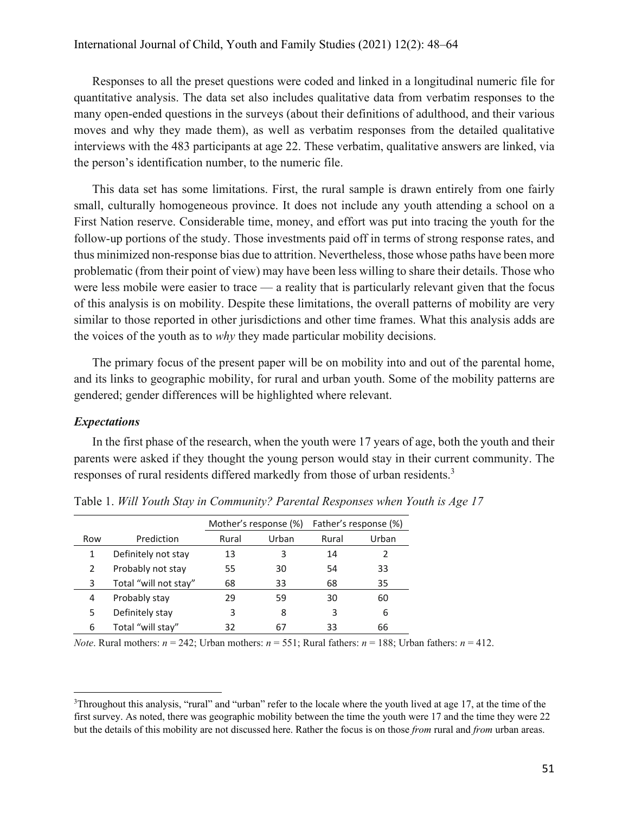Responses to all the preset questions were coded and linked in a longitudinal numeric file for quantitative analysis. The data set also includes qualitative data from verbatim responses to the many open-ended questions in the surveys (about their definitions of adulthood, and their various moves and why they made them), as well as verbatim responses from the detailed qualitative interviews with the 483 participants at age 22. These verbatim, qualitative answers are linked, via the person's identification number, to the numeric file.

This data set has some limitations. First, the rural sample is drawn entirely from one fairly small, culturally homogeneous province. It does not include any youth attending a school on a First Nation reserve. Considerable time, money, and effort was put into tracing the youth for the follow-up portions of the study. Those investments paid off in terms of strong response rates, and thus minimized non-response bias due to attrition. Nevertheless, those whose paths have been more problematic (from their point of view) may have been less willing to share their details. Those who were less mobile were easier to trace — a reality that is particularly relevant given that the focus of this analysis is on mobility. Despite these limitations, the overall patterns of mobility are very similar to those reported in other jurisdictions and other time frames. What this analysis adds are the voices of the youth as to *why* they made particular mobility decisions.

The primary focus of the present paper will be on mobility into and out of the parental home, and its links to geographic mobility, for rural and urban youth. Some of the mobility patterns are gendered; gender differences will be highlighted where relevant.

#### *Expectations*

In the first phase of the research, when the youth were 17 years of age, both the youth and their parents were asked if they thought the young person would stay in their current community. The responses of rural residents differed markedly from those of urban residents.<sup>3</sup>

|     |                       | Mother's response (%) |       | Father's response (%) |       |
|-----|-----------------------|-----------------------|-------|-----------------------|-------|
| Row | Prediction            | Rural                 | Urban | Rural                 | Urban |
|     | Definitely not stay   | 13                    | 3     | 14                    |       |
| 2   | Probably not stay     | 55                    | 30    | 54                    | 33    |
| 3   | Total "will not stay" | 68                    | 33    | 68                    | 35    |
| 4   | Probably stay         | 29                    | 59    | 30                    | 60    |
| 5   | Definitely stay       | 3                     | 8     | 3                     | 6     |
| 6   | Total "will stay"     | 32                    | 67    | 33                    | 66    |

Table 1. *Will Youth Stay in Community? Parental Responses when Youth is Age 17*

*Note*. Rural mothers:  $n = 242$ ; Urban mothers:  $n = 551$ ; Rural fathers:  $n = 188$ ; Urban fathers:  $n = 412$ .

<sup>3</sup> Throughout this analysis, "rural" and "urban" refer to the locale where the youth lived at age 17, at the time of the first survey. As noted, there was geographic mobility between the time the youth were 17 and the time they were 22 but the details of this mobility are not discussed here. Rather the focus is on those *from* rural and *from* urban areas.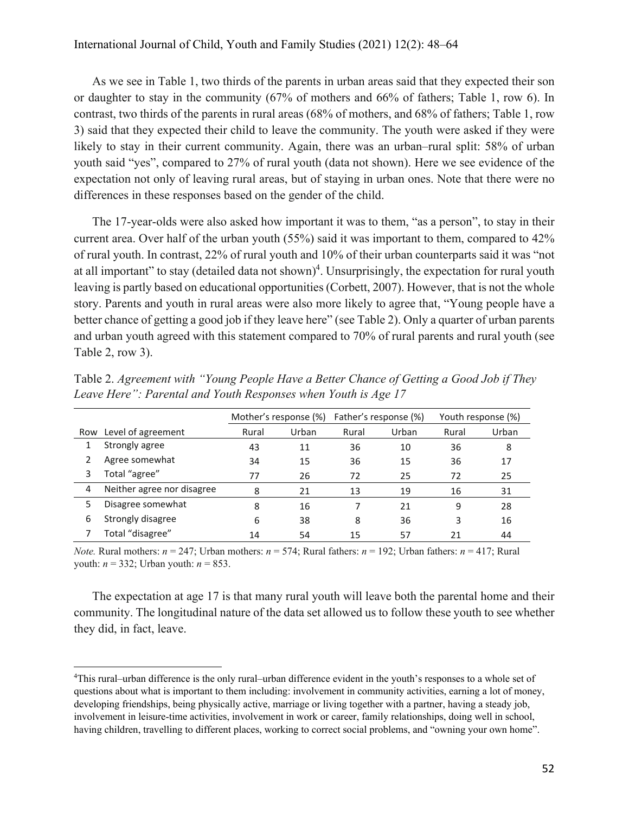As we see in Table 1, two thirds of the parents in urban areas said that they expected their son or daughter to stay in the community (67% of mothers and 66% of fathers; Table 1, row 6). In contrast, two thirds of the parents in rural areas (68% of mothers, and 68% of fathers; Table 1, row 3) said that they expected their child to leave the community. The youth were asked if they were likely to stay in their current community. Again, there was an urban–rural split: 58% of urban youth said "yes", compared to 27% of rural youth (data not shown). Here we see evidence of the expectation not only of leaving rural areas, but of staying in urban ones. Note that there were no differences in these responses based on the gender of the child.

The 17-year-olds were also asked how important it was to them, "as a person", to stay in their current area. Over half of the urban youth (55%) said it was important to them, compared to 42% of rural youth. In contrast, 22% of rural youth and 10% of their urban counterparts said it was "not at all important" to stay (detailed data not shown)<sup>4</sup>. Unsurprisingly, the expectation for rural youth leaving is partly based on educational opportunities (Corbett, 2007). However, that is not the whole story. Parents and youth in rural areas were also more likely to agree that, "Young people have a better chance of getting a good job if they leave here" (see Table 2). Only a quarter of urban parents and urban youth agreed with this statement compared to 70% of rural parents and rural youth (see Table 2, row 3).

|   |                            |       | Mother's response (%) |       | Father's response (%) |       | Youth response (%) |
|---|----------------------------|-------|-----------------------|-------|-----------------------|-------|--------------------|
|   | Row Level of agreement     | Rural | Urban                 | Rural | Urban                 | Rural | Urban              |
|   | Strongly agree             | 43    | 11                    | 36    | 10                    | 36    | 8                  |
|   | Agree somewhat             | 34    | 15                    | 36    | 15                    | 36    | 17                 |
| 3 | Total "agree"              | 77    | 26                    | 72    | 25                    | 72    | 25                 |
| 4 | Neither agree nor disagree | 8     | 21                    | 13    | 19                    | 16    | 31                 |
| 5 | Disagree somewhat          | 8     | 16                    |       | 21                    | 9     | 28                 |
| 6 | Strongly disagree          | 6     | 38                    | 8     | 36                    | 3     | 16                 |
|   | Total "disagree"           | 14    | 54                    | 15    | 57                    | 21    | 44                 |

Table 2. *Agreement with "Young People Have a Better Chance of Getting a Good Job if They Leave Here": Parental and Youth Responses when Youth is Age 17*

*Note.* Rural mothers:  $n = 247$ ; Urban mothers:  $n = 574$ ; Rural fathers:  $n = 192$ ; Urban fathers:  $n = 417$ ; Rural youth: *n* = 332; Urban youth: *n* = 853.

The expectation at age 17 is that many rural youth will leave both the parental home and their community. The longitudinal nature of the data set allowed us to follow these youth to see whether they did, in fact, leave.

<sup>4</sup> This rural–urban difference is the only rural–urban difference evident in the youth's responses to a whole set of questions about what is important to them including: involvement in community activities, earning a lot of money, developing friendships, being physically active, marriage or living together with a partner, having a steady job, involvement in leisure-time activities, involvement in work or career, family relationships, doing well in school, having children, travelling to different places, working to correct social problems, and "owning your own home".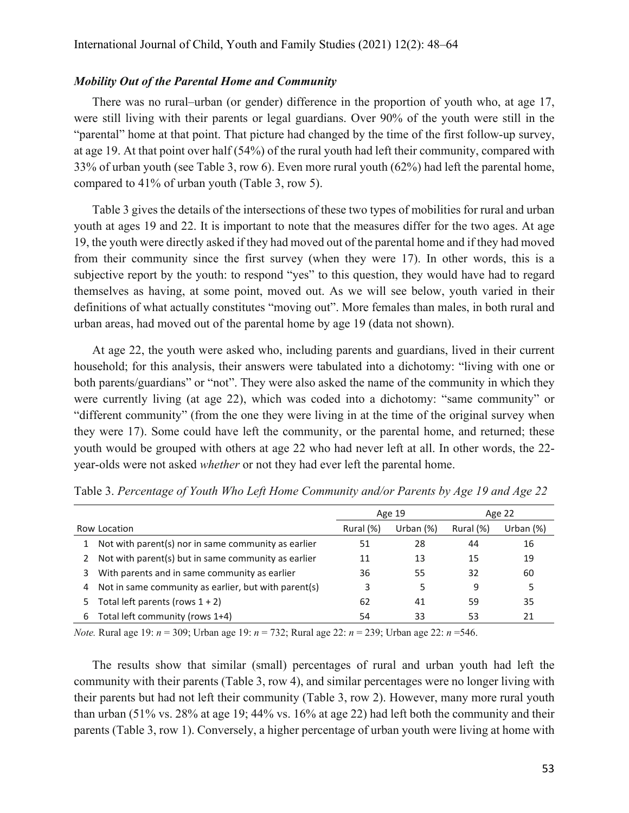#### *Mobility Out of the Parental Home and Community*

There was no rural–urban (or gender) difference in the proportion of youth who, at age 17, were still living with their parents or legal guardians. Over 90% of the youth were still in the "parental" home at that point. That picture had changed by the time of the first follow-up survey, at age 19. At that point over half (54%) of the rural youth had left their community, compared with 33% of urban youth (see Table 3, row 6). Even more rural youth (62%) had left the parental home, compared to 41% of urban youth (Table 3, row 5).

Table 3 gives the details of the intersections of these two types of mobilities for rural and urban youth at ages 19 and 22. It is important to note that the measures differ for the two ages. At age 19, the youth were directly asked if they had moved out of the parental home and if they had moved from their community since the first survey (when they were 17). In other words, this is a subjective report by the youth: to respond "yes" to this question, they would have had to regard themselves as having, at some point, moved out. As we will see below, youth varied in their definitions of what actually constitutes "moving out". More females than males, in both rural and urban areas, had moved out of the parental home by age 19 (data not shown).

At age 22, the youth were asked who, including parents and guardians, lived in their current household; for this analysis, their answers were tabulated into a dichotomy: "living with one or both parents/guardians" or "not". They were also asked the name of the community in which they were currently living (at age 22), which was coded into a dichotomy: "same community" or "different community" (from the one they were living in at the time of the original survey when they were 17). Some could have left the community, or the parental home, and returned; these youth would be grouped with others at age 22 who had never left at all. In other words, the 22 year-olds were not asked *whether* or not they had ever left the parental home.

|              |                                                      | Age 19    |              | Age 22    |             |
|--------------|------------------------------------------------------|-----------|--------------|-----------|-------------|
| Row Location |                                                      | Rural (%) | Urban $(\%)$ | Rural (%) | Urban $(%)$ |
|              | Not with parent(s) nor in same community as earlier  | 51        | 28           | 44        | 16          |
|              | Not with parent(s) but in same community as earlier  | 11        | 13           | 15        | 19          |
| 3.           | With parents and in same community as earlier        | 36        | 55           | 32        | 60          |
| 4            | Not in same community as earlier, but with parent(s) | 3         | 5            | 9         | 5           |
| 5.           | Total left parents (rows $1 + 2$ )                   | 62        | 41           | 59        | 35          |
| 6.           | Total left community (rows 1+4)                      | 54        | 33           | 53        | 21          |

Table 3. *Percentage of Youth Who Left Home Community and/or Parents by Age 19 and Age 22*

*Note.* Rural age 19: *n* = 309; Urban age 19: *n* = 732; Rural age 22: *n* = 239; Urban age 22: *n* =546.

The results show that similar (small) percentages of rural and urban youth had left the community with their parents (Table 3, row 4), and similar percentages were no longer living with their parents but had not left their community (Table 3, row 2). However, many more rural youth than urban (51% vs. 28% at age 19; 44% vs. 16% at age 22) had left both the community and their parents (Table 3, row 1). Conversely, a higher percentage of urban youth were living at home with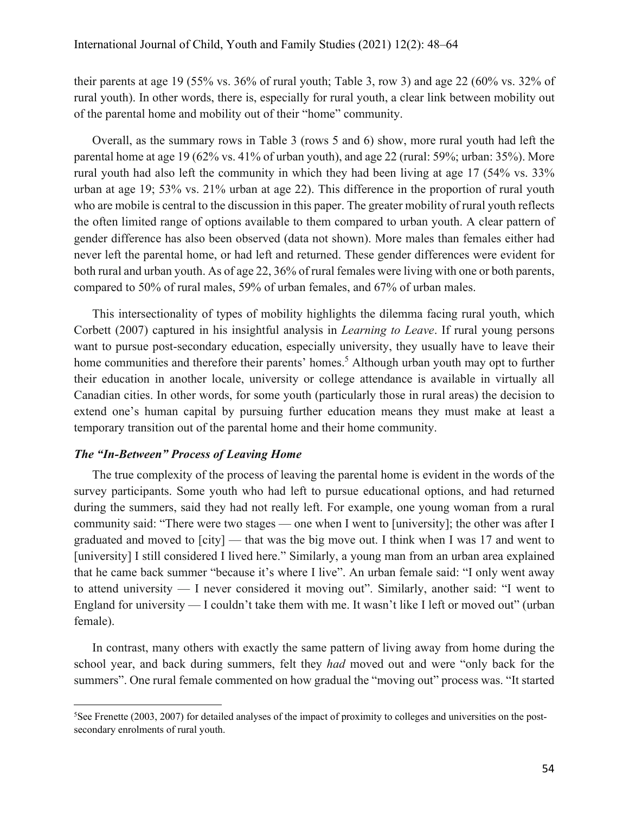their parents at age 19 (55% vs. 36% of rural youth; Table 3, row 3) and age 22 (60% vs. 32% of rural youth). In other words, there is, especially for rural youth, a clear link between mobility out of the parental home and mobility out of their "home" community.

Overall, as the summary rows in Table 3 (rows 5 and 6) show, more rural youth had left the parental home at age 19 (62% vs. 41% of urban youth), and age 22 (rural: 59%; urban: 35%). More rural youth had also left the community in which they had been living at age 17 (54% vs. 33% urban at age 19; 53% vs. 21% urban at age 22). This difference in the proportion of rural youth who are mobile is central to the discussion in this paper. The greater mobility of rural youth reflects the often limited range of options available to them compared to urban youth. A clear pattern of gender difference has also been observed (data not shown). More males than females either had never left the parental home, or had left and returned. These gender differences were evident for both rural and urban youth. As of age 22, 36% of rural females were living with one or both parents, compared to 50% of rural males, 59% of urban females, and 67% of urban males.

This intersectionality of types of mobility highlights the dilemma facing rural youth, which Corbett (2007) captured in his insightful analysis in *Learning to Leave*. If rural young persons want to pursue post-secondary education, especially university, they usually have to leave their home communities and therefore their parents' homes.<sup>5</sup> Although urban youth may opt to further their education in another locale, university or college attendance is available in virtually all Canadian cities. In other words, for some youth (particularly those in rural areas) the decision to extend one's human capital by pursuing further education means they must make at least a temporary transition out of the parental home and their home community.

# *The "In-Between" Process of Leaving Home*

The true complexity of the process of leaving the parental home is evident in the words of the survey participants. Some youth who had left to pursue educational options, and had returned during the summers, said they had not really left. For example, one young woman from a rural community said: "There were two stages — one when I went to [university]; the other was after I graduated and moved to [city] — that was the big move out. I think when I was 17 and went to [university] I still considered I lived here." Similarly, a young man from an urban area explained that he came back summer "because it's where I live". An urban female said: "I only went away to attend university — I never considered it moving out". Similarly, another said: "I went to England for university — I couldn't take them with me. It wasn't like I left or moved out" (urban female).

In contrast, many others with exactly the same pattern of living away from home during the school year, and back during summers, felt they *had* moved out and were "only back for the summers". One rural female commented on how gradual the "moving out" process was. "It started

<sup>5</sup> See Frenette (2003, 2007) for detailed analyses of the impact of proximity to colleges and universities on the postsecondary enrolments of rural youth.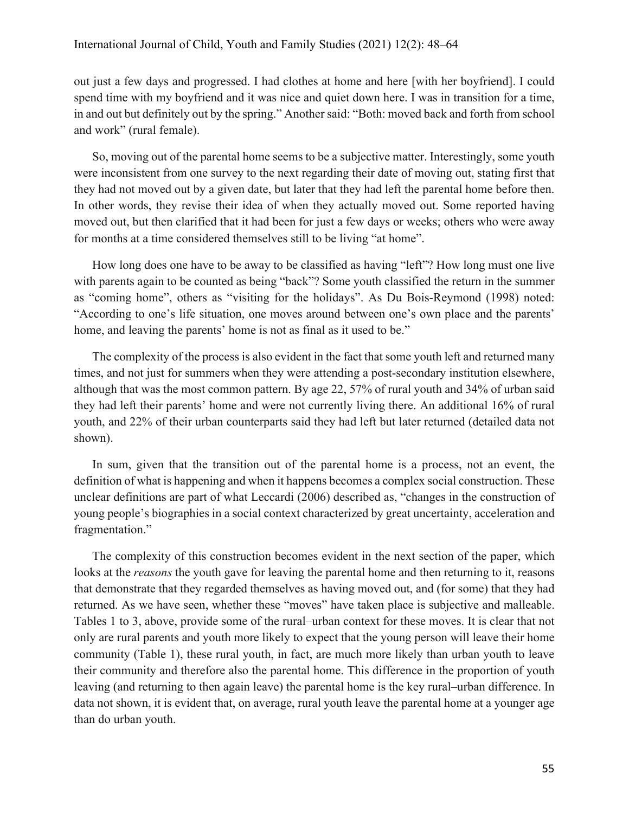out just a few days and progressed. I had clothes at home and here [with her boyfriend]. I could spend time with my boyfriend and it was nice and quiet down here. I was in transition for a time, in and out but definitely out by the spring." Another said: "Both: moved back and forth from school and work" (rural female).

So, moving out of the parental home seems to be a subjective matter. Interestingly, some youth were inconsistent from one survey to the next regarding their date of moving out, stating first that they had not moved out by a given date, but later that they had left the parental home before then. In other words, they revise their idea of when they actually moved out. Some reported having moved out, but then clarified that it had been for just a few days or weeks; others who were away for months at a time considered themselves still to be living "at home".

How long does one have to be away to be classified as having "left"? How long must one live with parents again to be counted as being "back"? Some youth classified the return in the summer as "coming home", others as "visiting for the holidays". As Du Bois-Reymond (1998) noted: "According to one's life situation, one moves around between one's own place and the parents' home, and leaving the parents' home is not as final as it used to be."

The complexity of the process is also evident in the fact that some youth left and returned many times, and not just for summers when they were attending a post-secondary institution elsewhere, although that was the most common pattern. By age 22, 57% of rural youth and 34% of urban said they had left their parents' home and were not currently living there. An additional 16% of rural youth, and 22% of their urban counterparts said they had left but later returned (detailed data not shown).

In sum, given that the transition out of the parental home is a process, not an event, the definition of what is happening and when it happens becomes a complex social construction. These unclear definitions are part of what Leccardi (2006) described as, "changes in the construction of young people's biographies in a social context characterized by great uncertainty, acceleration and fragmentation."

The complexity of this construction becomes evident in the next section of the paper, which looks at the *reasons* the youth gave for leaving the parental home and then returning to it, reasons that demonstrate that they regarded themselves as having moved out, and (for some) that they had returned. As we have seen, whether these "moves" have taken place is subjective and malleable. Tables 1 to 3, above, provide some of the rural–urban context for these moves. It is clear that not only are rural parents and youth more likely to expect that the young person will leave their home community (Table 1), these rural youth, in fact, are much more likely than urban youth to leave their community and therefore also the parental home. This difference in the proportion of youth leaving (and returning to then again leave) the parental home is the key rural–urban difference. In data not shown, it is evident that, on average, rural youth leave the parental home at a younger age than do urban youth.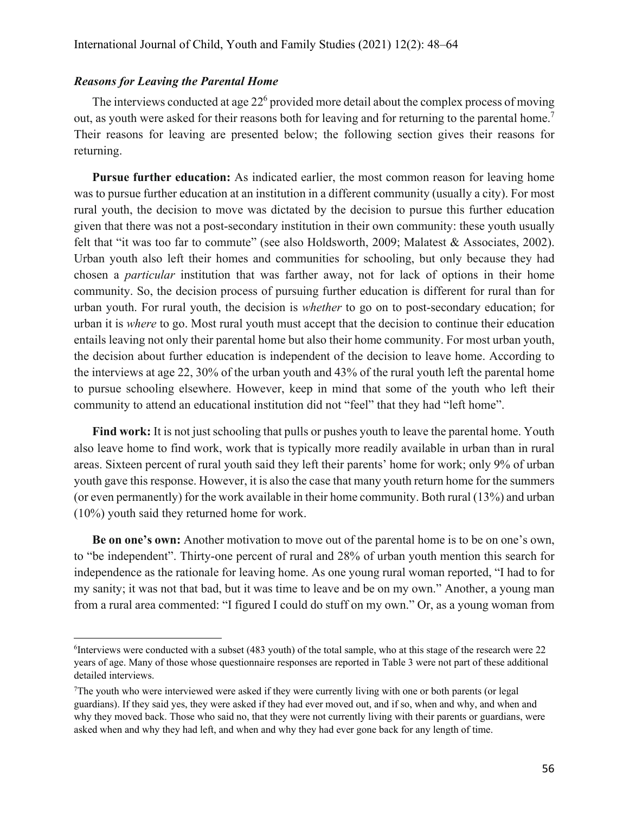### *Reasons for Leaving the Parental Home*

The interviews conducted at age  $22<sup>6</sup>$  provided more detail about the complex process of moving out, as youth were asked for their reasons both for leaving and for returning to the parental home.<sup>7</sup> Their reasons for leaving are presented below; the following section gives their reasons for returning.

**Pursue further education:** As indicated earlier, the most common reason for leaving home was to pursue further education at an institution in a different community (usually a city). For most rural youth, the decision to move was dictated by the decision to pursue this further education given that there was not a post-secondary institution in their own community: these youth usually felt that "it was too far to commute" (see also Holdsworth, 2009; Malatest & Associates, 2002). Urban youth also left their homes and communities for schooling, but only because they had chosen a *particular* institution that was farther away, not for lack of options in their home community. So, the decision process of pursuing further education is different for rural than for urban youth. For rural youth, the decision is *whether* to go on to post-secondary education; for urban it is *where* to go. Most rural youth must accept that the decision to continue their education entails leaving not only their parental home but also their home community. For most urban youth, the decision about further education is independent of the decision to leave home. According to the interviews at age 22, 30% of the urban youth and 43% of the rural youth left the parental home to pursue schooling elsewhere. However, keep in mind that some of the youth who left their community to attend an educational institution did not "feel" that they had "left home".

**Find work:** It is not just schooling that pulls or pushes youth to leave the parental home. Youth also leave home to find work, work that is typically more readily available in urban than in rural areas. Sixteen percent of rural youth said they left their parents' home for work; only 9% of urban youth gave this response. However, it is also the case that many youth return home for the summers (or even permanently) for the work available in their home community. Both rural (13%) and urban (10%) youth said they returned home for work.

**Be on one's own:** Another motivation to move out of the parental home is to be on one's own, to "be independent". Thirty-one percent of rural and 28% of urban youth mention this search for independence as the rationale for leaving home. As one young rural woman reported, "I had to for my sanity; it was not that bad, but it was time to leave and be on my own." Another, a young man from a rural area commented: "I figured I could do stuff on my own." Or, as a young woman from

<sup>6</sup> Interviews were conducted with a subset (483 youth) of the total sample, who at this stage of the research were 22 years of age. Many of those whose questionnaire responses are reported in Table 3 were not part of these additional detailed interviews.

<sup>7</sup> The youth who were interviewed were asked if they were currently living with one or both parents (or legal guardians). If they said yes, they were asked if they had ever moved out, and if so, when and why, and when and why they moved back. Those who said no, that they were not currently living with their parents or guardians, were asked when and why they had left, and when and why they had ever gone back for any length of time.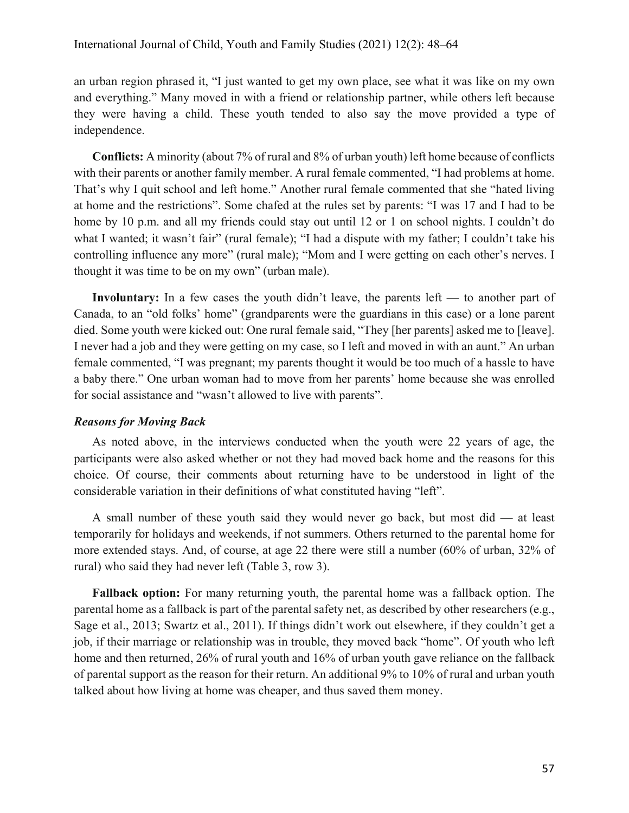an urban region phrased it, "I just wanted to get my own place, see what it was like on my own and everything." Many moved in with a friend or relationship partner, while others left because they were having a child. These youth tended to also say the move provided a type of independence.

**Conflicts:** A minority (about 7% of rural and 8% of urban youth) left home because of conflicts with their parents or another family member. A rural female commented, "I had problems at home. That's why I quit school and left home." Another rural female commented that she "hated living at home and the restrictions". Some chafed at the rules set by parents: "I was 17 and I had to be home by 10 p.m. and all my friends could stay out until 12 or 1 on school nights. I couldn't do what I wanted; it wasn't fair" (rural female); "I had a dispute with my father; I couldn't take his controlling influence any more" (rural male); "Mom and I were getting on each other's nerves. I thought it was time to be on my own" (urban male).

**Involuntary:** In a few cases the youth didn't leave, the parents left — to another part of Canada, to an "old folks' home" (grandparents were the guardians in this case) or a lone parent died. Some youth were kicked out: One rural female said, "They [her parents] asked me to [leave]. I never had a job and they were getting on my case, so I left and moved in with an aunt." An urban female commented, "I was pregnant; my parents thought it would be too much of a hassle to have a baby there." One urban woman had to move from her parents' home because she was enrolled for social assistance and "wasn't allowed to live with parents".

# *Reasons for Moving Back*

As noted above, in the interviews conducted when the youth were 22 years of age, the participants were also asked whether or not they had moved back home and the reasons for this choice. Of course, their comments about returning have to be understood in light of the considerable variation in their definitions of what constituted having "left".

A small number of these youth said they would never go back, but most did — at least temporarily for holidays and weekends, if not summers. Others returned to the parental home for more extended stays. And, of course, at age 22 there were still a number (60% of urban, 32% of rural) who said they had never left (Table 3, row 3).

**Fallback option:** For many returning youth, the parental home was a fallback option. The parental home as a fallback is part of the parental safety net, as described by other researchers (e.g., Sage et al., 2013; Swartz et al., 2011). If things didn't work out elsewhere, if they couldn't get a job, if their marriage or relationship was in trouble, they moved back "home". Of youth who left home and then returned, 26% of rural youth and 16% of urban youth gave reliance on the fallback of parental support as the reason for their return. An additional 9% to 10% of rural and urban youth talked about how living at home was cheaper, and thus saved them money.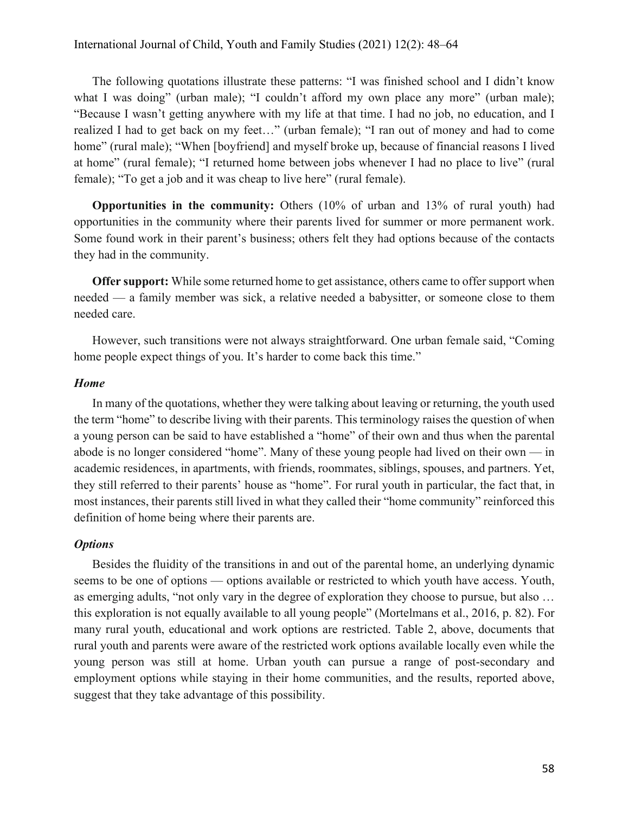The following quotations illustrate these patterns: "I was finished school and I didn't know what I was doing" (urban male); "I couldn't afford my own place any more" (urban male); "Because I wasn't getting anywhere with my life at that time. I had no job, no education, and I realized I had to get back on my feet…" (urban female); "I ran out of money and had to come home" (rural male); "When [boyfriend] and myself broke up, because of financial reasons I lived at home" (rural female); "I returned home between jobs whenever I had no place to live" (rural female); "To get a job and it was cheap to live here" (rural female).

**Opportunities in the community:** Others (10% of urban and 13% of rural youth) had opportunities in the community where their parents lived for summer or more permanent work. Some found work in their parent's business; others felt they had options because of the contacts they had in the community.

**Offer support:** While some returned home to get assistance, others came to offer support when needed — a family member was sick, a relative needed a babysitter, or someone close to them needed care.

However, such transitions were not always straightforward. One urban female said, "Coming home people expect things of you. It's harder to come back this time."

#### *Home*

In many of the quotations, whether they were talking about leaving or returning, the youth used the term "home" to describe living with their parents. This terminology raises the question of when a young person can be said to have established a "home" of their own and thus when the parental abode is no longer considered "home". Many of these young people had lived on their own — in academic residences, in apartments, with friends, roommates, siblings, spouses, and partners. Yet, they still referred to their parents' house as "home". For rural youth in particular, the fact that, in most instances, their parents still lived in what they called their "home community" reinforced this definition of home being where their parents are.

### *Options*

Besides the fluidity of the transitions in and out of the parental home, an underlying dynamic seems to be one of options — options available or restricted to which youth have access. Youth, as emerging adults, "not only vary in the degree of exploration they choose to pursue, but also … this exploration is not equally available to all young people" (Mortelmans et al., 2016, p. 82). For many rural youth, educational and work options are restricted. Table 2, above, documents that rural youth and parents were aware of the restricted work options available locally even while the young person was still at home. Urban youth can pursue a range of post-secondary and employment options while staying in their home communities, and the results, reported above, suggest that they take advantage of this possibility.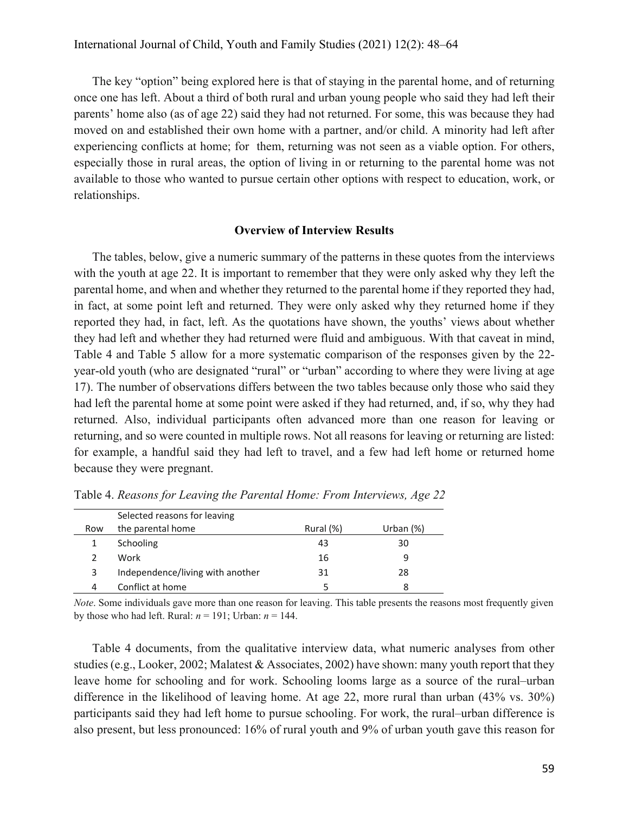The key "option" being explored here is that of staying in the parental home, and of returning once one has left. About a third of both rural and urban young people who said they had left their parents' home also (as of age 22) said they had not returned. For some, this was because they had moved on and established their own home with a partner, and/or child. A minority had left after experiencing conflicts at home; for them, returning was not seen as a viable option. For others, especially those in rural areas, the option of living in or returning to the parental home was not available to those who wanted to pursue certain other options with respect to education, work, or relationships.

#### **Overview of Interview Results**

The tables, below, give a numeric summary of the patterns in these quotes from the interviews with the youth at age 22. It is important to remember that they were only asked why they left the parental home, and when and whether they returned to the parental home if they reported they had, in fact, at some point left and returned. They were only asked why they returned home if they reported they had, in fact, left. As the quotations have shown, the youths' views about whether they had left and whether they had returned were fluid and ambiguous. With that caveat in mind, Table 4 and Table 5 allow for a more systematic comparison of the responses given by the 22 year-old youth (who are designated "rural" or "urban" according to where they were living at age 17). The number of observations differs between the two tables because only those who said they had left the parental home at some point were asked if they had returned, and, if so, why they had returned. Also, individual participants often advanced more than one reason for leaving or returning, and so were counted in multiple rows. Not all reasons for leaving or returning are listed: for example, a handful said they had left to travel, and a few had left home or returned home because they were pregnant.

|     | Selected reasons for leaving     |           |              |
|-----|----------------------------------|-----------|--------------|
| Row | the parental home                | Rural (%) | Urban $(\%)$ |
|     | Schooling                        | 43        | 30           |
|     | Work                             | 16        | q            |
| 3   | Independence/living with another | 31        | 28           |
| 4   | Conflict at home                 |           | 8            |

Table 4. *Reasons for Leaving the Parental Home: From Interviews, Age 22*

*Note*. Some individuals gave more than one reason for leaving. This table presents the reasons most frequently given by those who had left. Rural:  $n = 191$ ; Urban:  $n = 144$ .

Table 4 documents, from the qualitative interview data, what numeric analyses from other studies (e.g., Looker, 2002; Malatest & Associates, 2002) have shown: many youth report that they leave home for schooling and for work. Schooling looms large as a source of the rural–urban difference in the likelihood of leaving home. At age 22, more rural than urban (43% vs. 30%) participants said they had left home to pursue schooling. For work, the rural–urban difference is also present, but less pronounced: 16% of rural youth and 9% of urban youth gave this reason for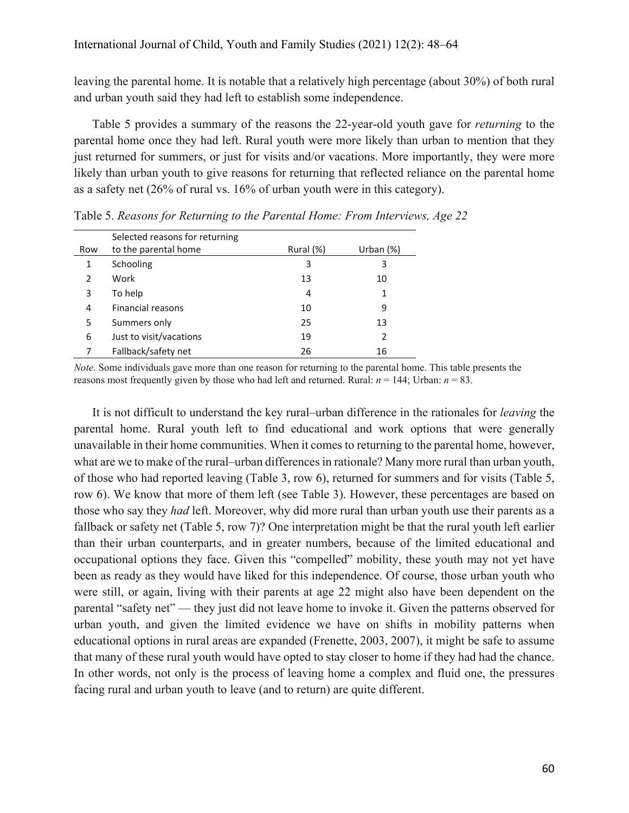leaving the parental home. It is notable that a relatively high percentage (about 30%) of both rural and urban youth said they had left to establish some independence.

Table 5 provides a summary of the reasons the 22-year-old youth gave for *returning* to the parental home once they had left. Rural youth were more likely than urban to mention that they just returned for summers, or just for visits and/or vacations. More importantly, they were more likely than urban youth to give reasons for returning that reflected reliance on the parental home as a safety net (26% of rural vs. 16% of urban youth were in this category).

|     | Selected reasons for returning |           |              |
|-----|--------------------------------|-----------|--------------|
| Row | to the parental home           | Rural (%) | Urban $(\%)$ |
| 1   | Schooling                      | 3         | 3            |
| 2   | Work                           | 13        | 10           |
| 3   | To help                        | 4         | 1            |
| 4   | <b>Financial reasons</b>       | 10        | 9            |
| 5   | Summers only                   | 25        | 13           |
| 6   | Just to visit/vacations        | 19        | 2            |
|     | Fallback/safety net            | 26        | 16           |

Table 5. *Reasons for Returning to the Parental Home: From Interviews, Age 22*

*Note*. Some individuals gave more than one reason for returning to the parental home. This table presents the reasons most frequently given by those who had left and returned. Rural:  $n = 144$ ; Urban:  $n = 83$ .

It is not difficult to understand the key rural–urban difference in the rationales for *leaving* the parental home. Rural youth left to find educational and work options that were generally unavailable in their home communities. When it comes to returning to the parental home, however, what are we to make of the rural–urban differences in rationale? Many more rural than urban youth, of those who had reported leaving (Table 3, row 6), returned for summers and for visits (Table 5, row 6). We know that more of them left (see Table 3). However, these percentages are based on those who say they *had* left. Moreover, why did more rural than urban youth use their parents as a fallback or safety net (Table 5, row 7)? One interpretation might be that the rural youth left earlier than their urban counterparts, and in greater numbers, because of the limited educational and occupational options they face. Given this "compelled" mobility, these youth may not yet have been as ready as they would have liked for this independence. Of course, those urban youth who were still, or again, living with their parents at age 22 might also have been dependent on the parental "safety net" — they just did not leave home to invoke it. Given the patterns observed for urban youth, and given the limited evidence we have on shifts in mobility patterns when educational options in rural areas are expanded (Frenette, 2003, 2007), it might be safe to assume that many of these rural youth would have opted to stay closer to home if they had had the chance. In other words, not only is the process of leaving home a complex and fluid one, the pressures facing rural and urban youth to leave (and to return) are quite different.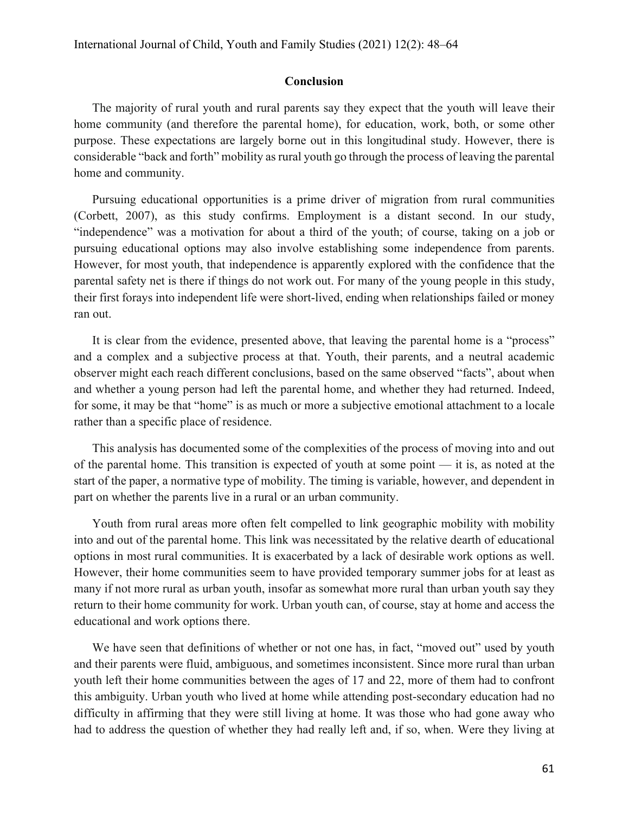# **Conclusion**

The majority of rural youth and rural parents say they expect that the youth will leave their home community (and therefore the parental home), for education, work, both, or some other purpose. These expectations are largely borne out in this longitudinal study. However, there is considerable "back and forth" mobility as rural youth go through the process of leaving the parental home and community.

Pursuing educational opportunities is a prime driver of migration from rural communities (Corbett, 2007), as this study confirms. Employment is a distant second. In our study, "independence" was a motivation for about a third of the youth; of course, taking on a job or pursuing educational options may also involve establishing some independence from parents. However, for most youth, that independence is apparently explored with the confidence that the parental safety net is there if things do not work out. For many of the young people in this study, their first forays into independent life were short-lived, ending when relationships failed or money ran out.

It is clear from the evidence, presented above, that leaving the parental home is a "process" and a complex and a subjective process at that. Youth, their parents, and a neutral academic observer might each reach different conclusions, based on the same observed "facts", about when and whether a young person had left the parental home, and whether they had returned. Indeed, for some, it may be that "home" is as much or more a subjective emotional attachment to a locale rather than a specific place of residence.

This analysis has documented some of the complexities of the process of moving into and out of the parental home. This transition is expected of youth at some point — it is, as noted at the start of the paper, a normative type of mobility. The timing is variable, however, and dependent in part on whether the parents live in a rural or an urban community.

Youth from rural areas more often felt compelled to link geographic mobility with mobility into and out of the parental home. This link was necessitated by the relative dearth of educational options in most rural communities. It is exacerbated by a lack of desirable work options as well. However, their home communities seem to have provided temporary summer jobs for at least as many if not more rural as urban youth, insofar as somewhat more rural than urban youth say they return to their home community for work. Urban youth can, of course, stay at home and access the educational and work options there.

We have seen that definitions of whether or not one has, in fact, "moved out" used by youth and their parents were fluid, ambiguous, and sometimes inconsistent. Since more rural than urban youth left their home communities between the ages of 17 and 22, more of them had to confront this ambiguity. Urban youth who lived at home while attending post-secondary education had no difficulty in affirming that they were still living at home. It was those who had gone away who had to address the question of whether they had really left and, if so, when. Were they living at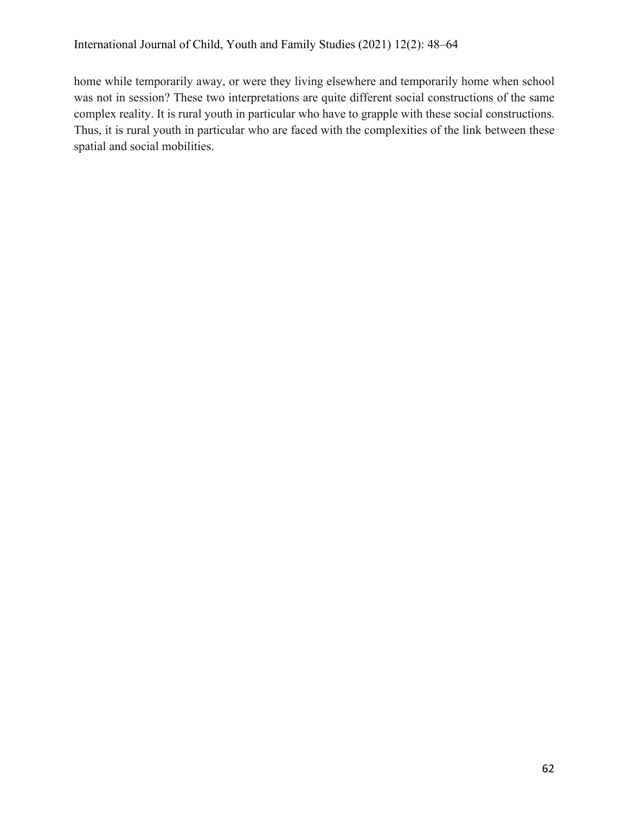home while temporarily away, or were they living elsewhere and temporarily home when school was not in session? These two interpretations are quite different social constructions of the same complex reality. It is rural youth in particular who have to grapple with these social constructions. Thus, it is rural youth in particular who are faced with the complexities of the link between these spatial and social mobilities.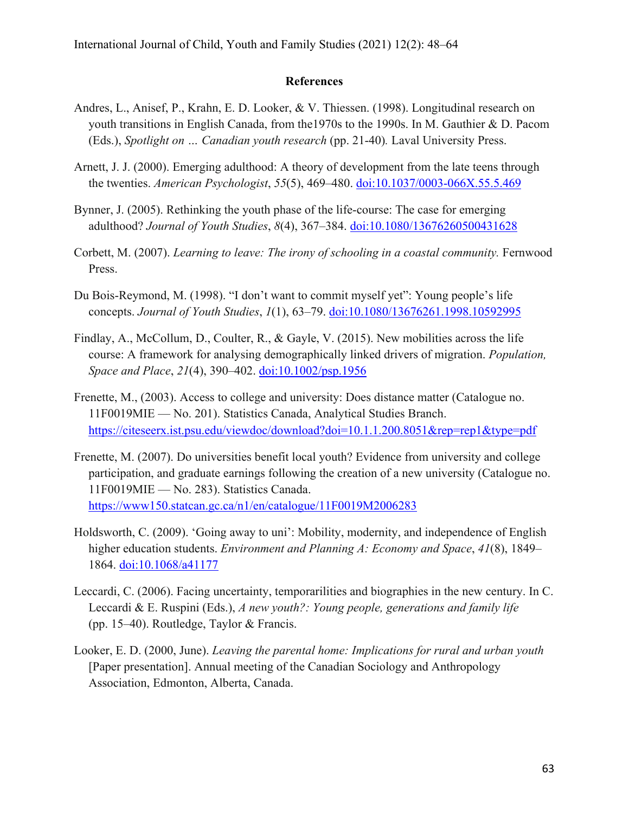# **References**

- Andres, L., Anisef, P., Krahn, E. D. Looker, & V. Thiessen. (1998). Longitudinal research on youth transitions in English Canada, from the1970s to the 1990s. In M. Gauthier & D. Pacom (Eds.), *Spotlight on … Canadian youth research* (pp. 21-40)*.* Laval University Press.
- Arnett, J. J. (2000). Emerging adulthood: A theory of development from the late teens through the twenties. *American Psychologist*, *55*(5), 469–480. doi:10.1037/0003-066X.55.5.469
- Bynner, J. (2005). Rethinking the youth phase of the life-course: The case for emerging adulthood? *Journal of Youth Studies*, *8*(4), 367–384. doi:10.1080/13676260500431628
- Corbett, M. (2007). *Learning to leave: The irony of schooling in a coastal community.* Fernwood Press.
- Du Bois-Reymond, M. (1998). "I don't want to commit myself yet": Young people's life concepts. *Journal of Youth Studies*, *1*(1), 63–79. doi:10.1080/13676261.1998.10592995
- Findlay, A., McCollum, D., Coulter, R., & Gayle, V. (2015). New mobilities across the life course: A framework for analysing demographically linked drivers of migration. *Population, Space and Place*, *21*(4), 390–402. doi:10.1002/psp.1956
- Frenette, M., (2003). Access to college and university: Does distance matter (Catalogue no. 11F0019MIE — No. 201). Statistics Canada, Analytical Studies Branch. https://citeseerx.ist.psu.edu/viewdoc/download?doi=10.1.1.200.8051&rep=rep1&type=pdf
- Frenette, M. (2007). Do universities benefit local youth? Evidence from university and college participation, and graduate earnings following the creation of a new university (Catalogue no. 11F0019MIE — No. 283). Statistics Canada. https://www150.statcan.gc.ca/n1/en/catalogue/11F0019M2006283
- Holdsworth, C. (2009). 'Going away to uni': Mobility, modernity, and independence of English higher education students. *Environment and Planning A: Economy and Space*, *41*(8), 1849– 1864. doi:10.1068/a41177
- Leccardi, C. (2006). Facing uncertainty, temporarilities and biographies in the new century. In C. Leccardi & E. Ruspini (Eds.), *A new youth?: Young people, generations and family life* (pp. 15–40). Routledge, Taylor & Francis.
- Looker, E. D. (2000, June). *Leaving the parental home: Implications for rural and urban youth* [Paper presentation]. Annual meeting of the Canadian Sociology and Anthropology Association, Edmonton, Alberta, Canada.